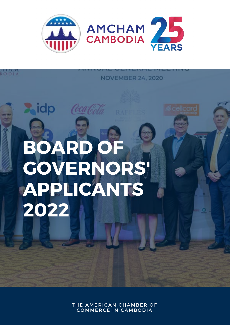

**BODIA** 

### **NOVEMBER 24, 2020**

# **BOARD OF GOVERNORS' APPLICANTS 2022**

 $\blacktriangleright$ idp  $\ell$ catoda

THE AMERICAN CHAMBER OF **COMMERCE IN CAMBODIA**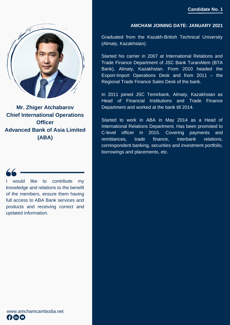

**Mr. Zhiger Atchabarov Chief International Operations Officer Advanced Bank of Asia Limited (ABA)**

I would like to contribute my knowledge and relations to the benefit of the members, ensure them having full access to ABA Bank services and products and receiving correct and updated information.

#### **AMCHAM JOINING DATE: JANUARY 2021**

Graduated from the Kazakh-British Technical University (Almaty, Kazakhstan).

Started his carrier in 2007 at International Relations and Trade Finance Department of JSC Bank TuranAlem (BTA Bank), Almaty, Kazakhstan. From 2010 headed the Export-Import Operations Desk and from 2011 – the Regional Trade Finance Sales Desk of the bank.

In 2011 joined JSC Temirbank, Almaty, Kazakhstan as Head of Financial Institutions and Trade Finance Department and worked at the bank till 2014.

Started to work in ABA in May 2014 as a Head of International Relations Department. Has been promoted to C-level officer in 2015. Covering payments and remittances, trade finance, interbank relations, correspondent banking, securities and investment portfolio, borrowings and placements, etc.

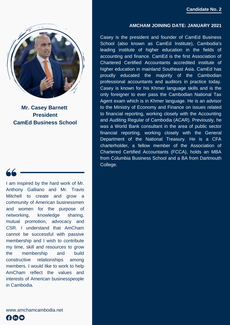

Casey is the president and founder of CamEd Business School (also known as CamEd Institute), Cambodia's leading institute of higher education in the fields of accounting and finance. CamEd is the first Association of Chartered Certified Accountants accredited institute of higher education in mainland Southeast Asia. CamEd has proudly educated the majority of the Cambodian professional accountants and auditors in practice today. Casey is known for his Khmer language skills and is the only foreigner to ever pass the Cambodian National Tax Agent exam which is in Khmer language. He is an advisor to the Ministry of Economy and Finance on issues related to financial reporting, working closely with the Accounting and Auditing Regular of Cambodia (ACAR). Previously, he was a World Bank consultant in the area of public sector financial reporting, working closely with the General Department of the National Treasury. He is a CFA charterholder, a fellow member of the Association of Chartered Certified Accountants (FCCA), holds an MBA from Columbia Business School and a BA from Dartmouth College.



**Mr. Casey Barnett President CamEd Business School**



I am inspired by the hard work of Mr. Anthony Galliano and Mr. Travis Mitchell to create and grow a community of American businessmen and women for the purpose of networking, knowledge sharing, mutual promotion, advocacy and CSR. I understand that AmCham cannot be successful with passive membership and I wish to contribute my time, skill and resources to grow the membership and build constructive relationships among members. I would like to work to help AmCham reflect the values and interests of American businesspeople in Cambodia.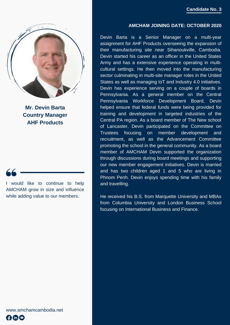

**Mr. Devin Barta Country Manager AHF Products**

I would like to continue to help AMCHAM grow in size and influence while adding value to our members.

#### **AMCHAM JOINING DATE: OCTOBER 2020**

Devin Barta is a Senior Manager on a multi-year assignment for AHF Products overseeing the expansion of their manufacturing site near Sihanoukville, Cambodia. Devin started his career as an officer in the United States Army and has a extensive experience operating in multicultural settings. He then moved into the manufacturing sector culminating in multi-site manager roles in the United States as well as managing IoT and Industry 4.0 initiatives. Devin has experience serving on a couple of boards in Pennsylvania. As a general member on the Central Pennsylvania Workforce Development Board, Devin helped ensure that federal funds were being provided for training and development in targeted industries of the Central PA region. As a board member of The New school of Lancaster, Devin participated on the Committee on Trustees focusing on member development and recruitment, as well as the Advancement Committee promoting the school in the general community. As a board member of AMCHAM Devin supported the organization through discussions during board meetings and supporting our new member engagement initiatives. Devin is married and has two children aged 1 and 5 who are living in Phnom Penh. Devin enjoys spending time with his family and travelling.

He received his B.S. from Marquette University and MBAs from Columbia University and London Business School focusing on International Business and Finance.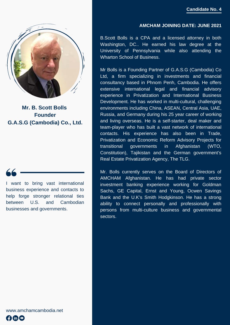

**Mr. B. Scott Bolls Founder G.A.S.G (Cambodia) Co., Ltd.**

I want to bring vast international business experience and contacts to help forge stronger relational ties between U.S. and Cambodian businesses and governments.

#### **AMCHAM JOINING DATE: JUNE 2021**

B.Scott Bolls is a CPA and a licensed attorney in both Washington, DC.. He earned his law degree at the University of Pennsylvania while also attending the Wharton School of Business.

Mr Bolls is a Founding Partner of G.A.S.G (Cambodia) Co Ltd, a firm specializing in investments and financial consultancy based in Phnom Penh, Cambodia. He offers extensive international legal and financial advisory experience in Privatization and International Business Development. He has worked in multi-cultural, challenging environments including China, ASEAN, Central Asia, UAE, Russia, and Germany during his 25 year career of working and living overseas. He is a self-starter, deal maker and team-player who has built a vast network of international contacts. His experience has also been in Trade, Privatization and Economic Reform Advisory Projects for transitional governments in Afghanistan (WTO, Constitution), Tajikistan and the German government's Real Estate Privatization Agency, The TLG.

Mr. Bolls currently serves on the Board of Directors of AMCHAM Afghanistan. He has had private sector investment banking experience working for Goldman Sachs, GE Capital, Ernst and Young, Ocwen Savings Bank and the U.K's Smith Hodgkinson. He has a strong ability to connect personally and professionally with persons from multi-culture business and governmental sectors.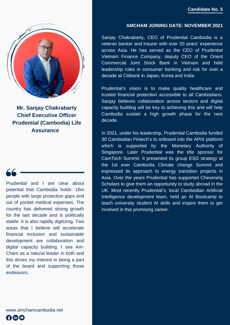

**Mr. Sanjay Chakrabarty Chief Executive Officer Prudential (Cambodia) Life Assurance** 

Prudential and I are clear about potential that Cambodia holds. 16m people with large protection gaps and out of pocket medical expenses. The country has delivered strong growth for the last decade and is politically stable. It is also rapidly digitizing. Two areas that I believe will accelerate financial inclusion and sustainable development are collaboration and digital capacity building. I see Am-Cham as a natural leader in both and this drives my interest in being a part of the board and supporting those endeavors.

**AMCHAM JOINING DATE: NOVEMBER 2021**

Sanjay Chakrabarty, CEO of Prudential Cambodia is a veteran banker and insurer with over 20 years' experience across Asia. He has served as the CEO of Prudential Vietnam Finance Company, deputy CEO of the Orient Commercial Joint Stock Bank in Vietnam and held leadership roles in consumer banking and risk for over a decade at Citibank in Japan, Korea and India.

Prudential's vision is to make quality healthcare and trusted financial protection accessible to all Cambodians. Sanjay believes collaboration across sectors and digital capacity building will be key to achieving this and will help Cambodia sustain a high growth phase for the next decade.

In 2021, under his leadership, Prudential Cambodia funded 30 Cambodian Fintech's to onboard into the APIX platform which is supported by the Monetary Authority of Singapore. Later Prudential was the title sponsor for CamTech Summit. It presented its group ESG strategy at the 1st ever Cambodia Climate change Summit and expressed its approach to energy transition projects in Asia. Over the years Prudential has supported Chevening Scholars to give them an opportunity to study abroad in the UK. Most recently Prudential's, local Cambodian Artificial Intelligence development team, held an AI Bootcamp to teach university student AI skills and inspire them to get involved in this promising career.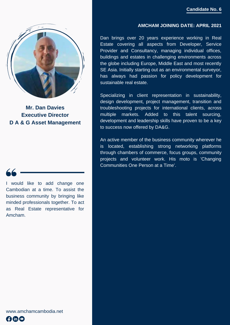

**Mr. Dan Davies Executive Director D A & G Asset Management**

I would like to add change one Cambodian at a time. To assist the business community by bringing like minded professionals together. To act as Real Estate representative for Amcham.

#### **AMCHAM JOINING DATE: APRIL 2021**

Dan brings over 20 years experience working in Real Estate covering all aspects from Developer, Service Provider and Consultancy, managing individual offices, buildings and estates in challenging environments across the globe including Europe, Middle East and most recently SE Asia. Initially starting out as an environmental surveyor, has always had passion for policy development for sustainable real estate.

Specializing in client representation in sustainability, design development, project management, transition and troubleshooting projects for international clients, across multiple markets. Added to this talent sourcing, development and leadership skills have proven to be a key to success now offered by DA&G.

An active member of the business community wherever he is located, establishing strong networking platforms through chambers of commerce, focus groups, community projects and volunteer work. His moto is 'Changing Communities One Person at a Time'.

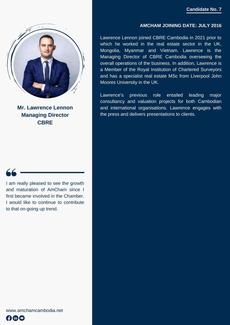

**Mr. Lawrence Lennon Managing Director CBRE**



I am really pleased to see the growth and maturation of AmCham since I first became involved in the Chamber. I would like to continue to contribute to that on-going up trend.

#### **AMCHAM JOINING DATE: JULY 2016**

Lawrence Lennon joined CBRE Cambodia in 2021 prior to which he worked in the real estate sector in the UK, Mongolia, Myanmar and Vietnam. Lawrence is the Managing Director of CBRE Cambodia overseeing the overall operations of the business. In addition, Lawrence is a Member of the Royal Institution of Chartered Surveyors and has a specialist real estate MSc from Liverpool John Moores University in the UK.

Lawrence's previous role entailed leading major consultancy and valuation projects for both Cambodian and international organisations. Lawrence engages with the press and delivers presentations to clients.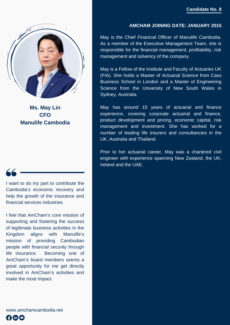

**Ms. May Lin CFO Manulife Cambodia**

I want to do my part to contribute the Cambodia's economic recovery and help the growth of the insurance and financial services industries.

I feel that AmCham's core mission of supporting and fostering the success of legitimate business activities in the Kingdom aligns with Manulife's mission of providing Cambodian people with financial security through life insurance. Becoming one of AmCham's board members seems a great opportunity for me get directly involved in AmCham's activities and make the most impact.

www.amchamcambodia.net Amo

#### **AMCHAM JOINING DATE: JANUARY 2015**

May is the Chief Financial Officer of Manulife Cambodia. As a member of the Executive Management Team, she is responsible for the financial management, profitability, risk management and solvency of the company.

May is a Fellow of the Institute and Faculty of Actuaries UK (FIA). She holds a Master of Actuarial Science from Cass Business School in London and a Master of Engineering Science from the University of New South Wales in Sydney, Australia.

May has around 15 years of actuarial and finance experience, covering corporate actuarial and finance, product development and pricing, economic capital, risk management and investment. She has worked for a number of leading life insurers and consultancies in the UK, Australia and Thailand.

Prior to her actuarial career, May was a chartered civil engineer with experience spanning New Zealand, the UK, Ireland and the UAE.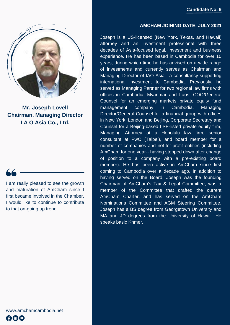#### **AMCHAM JOINING DATE: JULY 2021**



**Mr. Joseph Lovell Chairman, Managing Director I A O Asia Co., Ltd.**

I am really pleased to see the growth and maturation of AmCham since I first became involved in the Chamber. I would like to continue to contribute to that on-going up trend.

Joseph is a US-licensed (New York, Texas, and Hawaii) attorney and an investment professional with three decades of Asia-focused legal, investment and business experience. He has been based in Cambodia for over 10 years, during which time he has advised on a wide range of investments and currently serves as Chairman and Managing Director of IAO Asia-- a consultancy supporting international investment to Cambodia. Previously, he served as Managing Partner for two regional law firms with offices in Cambodia, Myanmar and Laos, COO/General Counsel for an emerging markets private equity fund management company in Cambodia, Managing Director/General Counsel for a financial group with offices in New York, London and Beijing, Corporate Secretary and Counsel for a Beijing-based LSE-listed private equity firm, Managing Attorney at a Honolulu law firm, senior consultant at PwC (Taipei), and board member for a number of companies and not-for-profit entities (including AmCham for one year-- having stepped down after change of position to a company with a pre-existing board member). He has been active in AmCham since first coming to Cambodia over a decade ago. In addition to having served on the Board, Joseph was the founding Chairman of AmCham's Tax & Legal Committee, was a member of the Committee that drafted the current AmCham Charter, and has served on the AmCham Nominations Committee and AGM Steering Committee. Joseph has a BS degree from Georgetown University and MA and JD degrees from the University of Hawaii. He speaks basic Khmer.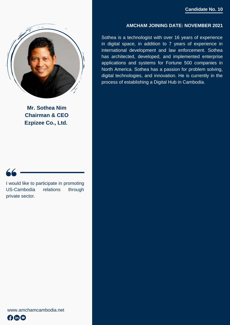

**Mr. Sothea Nim Chairman & CEO Ezpizee Co., Ltd.**



I would like to participate in promoting US-Cambodia relations through private sector.

#### **AMCHAM JOINING DATE: NOVEMBER 2021**

Sothea is a technologist with over 16 years of experience in digital space, in addition to 7 years of experience in international development and law enforcement. Sothea has architected, developed, and implemented enterprise applications and systems for Fortune 500 companies in North America. Sothea has a passion for problem solving, digital technologies, and innovation. He is currently in the process of establishing a Digital Hub in Cambodia.

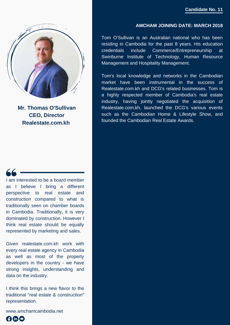

**Mr. Thomas O'Sullivan CEO, Director Realestate.com.kh**



I am interested to be a board member as I believe I bring a different perspective to real estate and construction compared to what is traditionally seen on chamber boards in Cambodia. Traditionally, it is very dominated by construction. However I think real estate should be equally represented by marketing and sales.

Given realestate.com.kh work with every real estate agency in Cambodia as well as most of the property developers in the country - we have strong insights, understanding and data on the industry.

I think this brings a new flavor to the traditional "real estate & construction" representation.

www.amchamcambodia.net



#### **AMCHAM JOINING DATE: MARCH 2018**

Tom O'Sullivan is an Australian national who has been residing in Cambodia for the past 8 years. His education credentials include Commerce/Entrepreneurship at Swinburne Institute of Technology, Human Resource Management and Hospitality Management.

Tom's local knowledge and networks in the Cambodian market have been instrumental in the success of Realestate.com.kh and DCG's related businesses. Tom is a highly respected member of Cambodia's real estate industry, having jointly negotiated the acquisition of Realestate.com.kh, launched the DCG's various events such as the Cambodian Home & Lifestyle Show, and founded the Cambodian Real Estate Awards.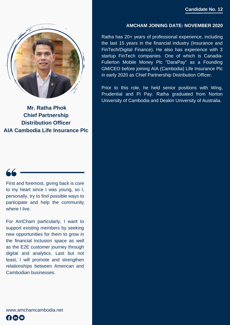

**Mr. Ratha Phok Chief Partnership Distribution Officer AIA Cambodia Life Insurance Plc**

First and foremost, giving back is core to my heart since I was young, so I, personally, try to find possible ways to participate and help the community where I live.

For AmCham particularly, I want to support existing members by seeking new opportunities for them to grow in the financial inclusion space as well as the E2E customer journey through digital and analytics. Last but not least, I will promote and strengthen relationships between American and Cambodian businesses.

www.amchamcambodia.net **A®©** 

#### **AMCHAM JOINING DATE: NOVEMBER 2020**

Ratha has 20+ years of professional experience, including the last 15 years in the financial industry (Insurance and FinTech/Digital Finance). He also has experience with 3 startup FinTech companies. One of which is Canadia-Fullerton Mobile Money Plc "DaraPay" as a Founding GM/CEO before joining AIA (Cambodia) Life Insurance Plc in early 2020 as Chief Partnership Distribution Officer.

Prior to this role, he held senior positions with Wing, Prudential and Pi Pay. Ratha graduated from Norton University of Cambodia and Deakin University of Australia.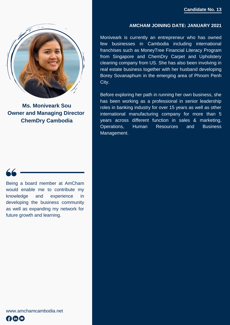

**Ms. Moniveark Sou Owner and Managing Director [ChemDry Cambodia](https://amchamcambodia.glueup.com/memberships/340258/)**

Being a board member at AmCham would enable me to contribute my knowledge and experience in developing the business community as well as expanding my network for future growth and learning.

#### **AMCHAM JOINING DATE: JANUARY 2021**

Moniveark is currently an entrepreneur who has owned few businesses in Cambodia including international franchises such as MoneyTree Financial Literacy Program from Singapore and ChemDry Carpet and Upholstery cleaning company from US. She has also been involving in real estate business together with her husband developing Borey Sovanaphum in the emerging area of Phnom Penh City.

Before exploring her path in running her own business, she has been working as a professional in senior leadership roles in banking industry for over 15 years as well as other international manufacturing company for more than 5 years across different function in sales & marketing, Operations, Human Resources and Business Management.

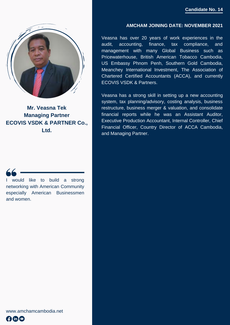

**Mr. Veasna Tek Managing Partner ECOVIS VSDK & PARTNER Co., Ltd.**

I would like to build a strong networking with American Community especially American Businessmen and women.

#### **AMCHAM JOINING DATE: NOVEMBER 2021**

Veasna has over 20 years of work experiences in the audit, accounting, finance, tax compliance, and management with many Global Business such as Pricewaterhouse, British American Tobacco Cambodia, US Embassy Phnom Penh, Southern Gold Cambodia, Meanchey International Investment, The Association of Chartered Certified Accountants (ACCA), and currently ECOVIS VSDK & Partners.

Veasna has a strong skill in setting up a new accounting system, tax planning/advisory, costing analysis, business restructure, business merger & valuation, and consolidate financial reports while he was an Assistant Auditor, Executive Production Accountant, Internal Controller, Chief Financial Officer, Country Director of ACCA Cambodia, and Managing Partner.

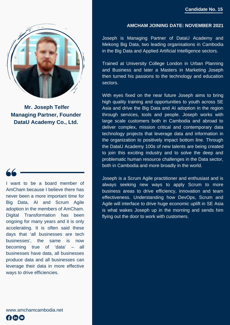

**Mr. Joseph Telfer Managing Partner, Founder DataU Academy Co., Ltd.**

I want to be a board member of AmCham because I believe there has never been a more important time for Big Data, AI and Scrum Agile adoption in the members of AmCham. Digital Transformation has been ongoing for many years and it is only accelerating. It is often said these days that 'all businesses are tech businesses', the same is now becoming true of 'data' – all businesses have data, all businesses produce data and all businesses can leverage their data in more effective ways to drive efficiencies.

www.amchamcambodia.net AOO

#### **AMCHAM JOINING DATE: NOVEMBER 2021**

Joseph is Managing Partner of DataU Academy and Mekong Big Data, two leading organisations in Cambodia in the Big Data and Applied Artificial Intelligence sectors.

Trained at University College London in Urban Planning and Business and later a Masters in Marketing Joseph then turned his passions to the technology and education sectors.

With eyes fixed on the near future Joseph aims to bring high quality training and opportunities to youth across SE Asia and drive the Big Data and AI adoption in the region through services, tools and people. Joseph works with large scale customers both in Cambodia and abroad to deliver complex, mission critical and contemporary data technology projects that leverage data and information in the organization to positively impact bottom line. Through the DataU Academy 100s of new talents are being created to join this exciting industry and to solve the deep and problematic human resource challenges in the Data sector, both in Cambodia and more broadly in the world.

Joseph is a Scrum Agile practitioner and enthusiast and is always seeking new ways to apply Scrum to more business areas to drive efficiency, innovation and team effectiveness. Understanding how DevOps, Scrum and Agile will interface to drive huge economic uplift in SE Asia is what wakes Joseph up in the morning and sends him flying out the door to work with customers.